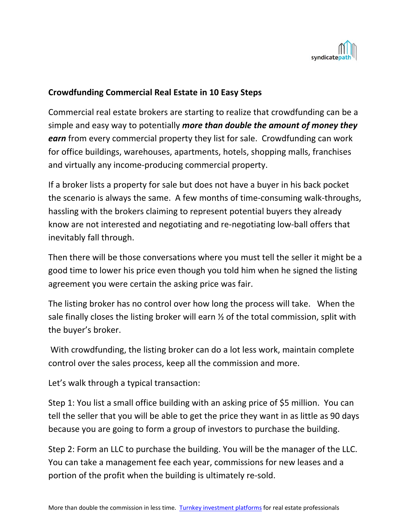

## **Crowdfunding Commercial Real Estate in 10 Easy Steps**

Commercial real estate brokers are starting to realize that crowdfunding can be a simple and easy way to potentially *more than double the amount of money they earn* from every commercial property they list for sale. Crowdfunding can work for office buildings, warehouses, apartments, hotels, shopping malls, franchises and virtually any income‐producing commercial property.

If a broker lists a property for sale but does not have a buyer in his back pocket the scenario is always the same. A few months of time‐consuming walk‐throughs, hassling with the brokers claiming to represent potential buyers they already know are not interested and negotiating and re‐negotiating low‐ball offers that inevitably fall through.

Then there will be those conversations where you must tell the seller it might be a good time to lower his price even though you told him when he signed the listing agreement you were certain the asking price was fair.

The listing broker has no control over how long the process will take. When the sale finally closes the listing broker will earn  $\frac{1}{2}$  of the total commission, split with the buyer's broker.

 With crowdfunding, the listing broker can do a lot less work, maintain complete control over the sales process, keep all the commission and more.

Let's walk through a typical transaction:

Step 1: You list a small office building with an asking price of \$5 million. You can tell the seller that you will be able to get the price they want in as little as 90 days because you are going to form a group of investors to purchase the building.

Step 2: Form an LLC to purchase the building. You will be the manager of the LLC. You can take a management fee each year, commissions for new leases and a portion of the profit when the building is ultimately re‐sold.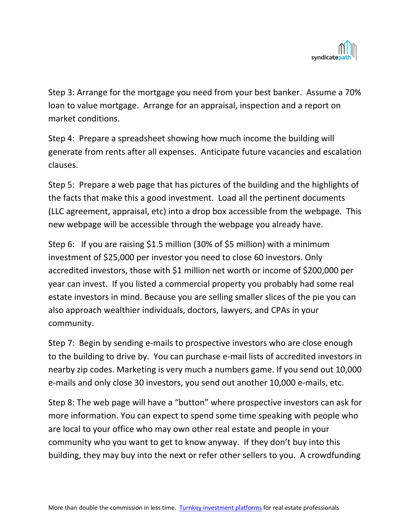

Step 3: Arrange for the mortgage you need from your best banker. Assume a 70% loan to value mortgage. Arrange for an appraisal, inspection and a report on market conditions.

Step 4: Prepare a spreadsheet showing how much income the building will generate from rents after all expenses. Anticipate future vacancies and escalation clauses.

Step 5: Prepare a web page that has pictures of the building and the highlights of the facts that make this a good investment. Load all the pertinent documents (LLC agreement, appraisal, etc) into a drop box accessible from the webpage. This new webpage will be accessible through the webpage you already have.

Step 6: If you are raising \$1.5 million (30% of \$5 million) with a minimum investment of \$25,000 per investor you need to close 60 investors. Only accredited investors, those with \$1 million net worth or income of \$200,000 per year can invest. If you listed a commercial property you probably had some real estate investors in mind. Because you are selling smaller slices of the pie you can also approach wealthier individuals, doctors, lawyers, and CPAs in your community.

Step 7: Begin by sending e-mails to prospective investors who are close enough to the building to drive by. You can purchase e‐mail lists of accredited investors in nearby zip codes. Marketing is very much a numbers game. If you send out 10,000 e‐mails and only close 30 investors, you send out another 10,000 e‐mails, etc.

Step 8: The web page will have a "button" where prospective investors can ask for more information. You can expect to spend some time speaking with people who are local to your office who may own other real estate and people in your community who you want to get to know anyway. If they don't buy into this building, they may buy into the next or refer other sellers to you. A crowdfunding